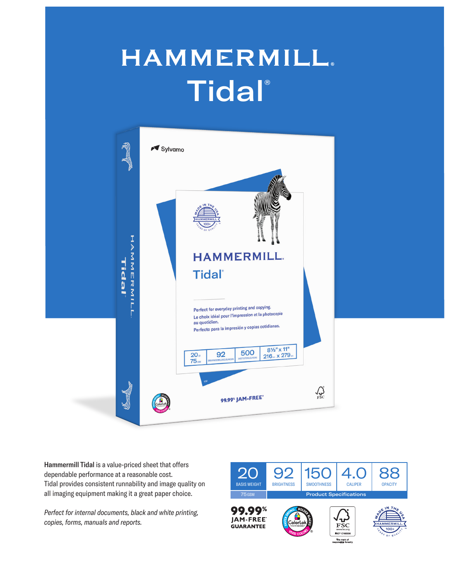## **HAMMERMILL. Tidal®**



Hammermill Tidal is a value-priced sheet that offers dependable performance at a reasonable cost. Tidal provides consistent runnability and image quality on all imaging equipment making it a great paper choice.

*Perfect for internal documents, black and white printing, copies, forms, manuals and reports.*